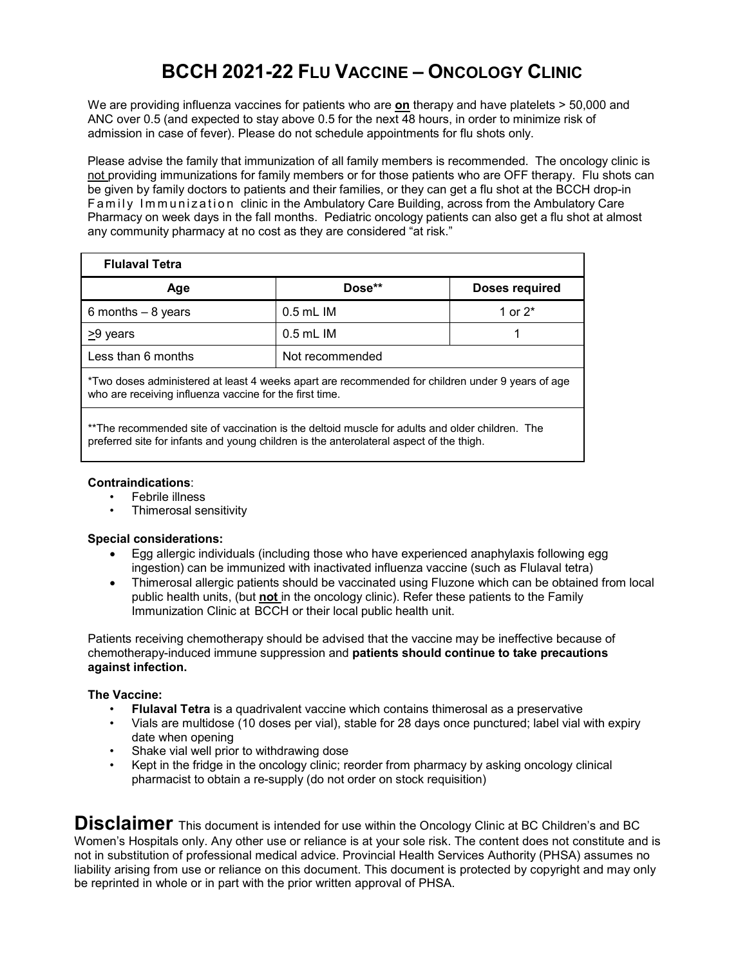## **BCCH 2021-22 FLU VACCINE – ONCOLOGY CLINIC**

We are providing influenza vaccines for patients who are **on** therapy and have platelets > 50,000 and ANC over 0.5 (and expected to stay above 0.5 for the next 48 hours, in order to minimize risk of admission in case of fever). Please do not schedule appointments for flu shots only.

Please advise the family that immunization of all family members is recommended. The oncology clinic is not providing immunizations for family members or for those patients who are OFF therapy. Flu shots can be given by family doctors to patients and their families, or they can get a flu shot at the BCCH drop-in Family Immunization clinic in the Ambulatory Care Building, across from the Ambulatory Care Pharmacy on week days in the fall months. Pediatric oncology patients can also get a flu shot at almost any community pharmacy at no cost as they are considered "at risk."

| <b>Flulaval Tetra</b>                                                                            |                 |                       |
|--------------------------------------------------------------------------------------------------|-----------------|-----------------------|
| Age                                                                                              | Dose**          | <b>Doses required</b> |
| 6 months $-8$ years                                                                              | $0.5$ mL IM     | 1 or $2^*$            |
| >9 years                                                                                         | $0.5$ mL IM     |                       |
| Less than 6 months                                                                               | Not recommended |                       |
| *Two doses administered at least 4 weeks apart are recommended for children under 9 years of age |                 |                       |

who are receiving influenza vaccine for the first time.

\*\*The recommended site of vaccination is the deltoid muscle for adults and older children. The preferred site for infants and young children is the anterolateral aspect of the thigh.

## **Contraindications**:

- Febrile illness
- Thimerosal sensitivity

## **Special considerations:**

- Egg allergic individuals (including those who have experienced anaphylaxis following egg ingestion) can be immunized with inactivated influenza vaccine (such as Flulaval tetra)
- Thimerosal allergic patients should be vaccinated using Fluzone which can be obtained from local public health units, (but **not** in the oncology clinic). Refer these patients to the Family Immunization Clinic at BCCH or their local public health unit.

Patients receiving chemotherapy should be advised that the vaccine may be ineffective because of chemotherapy-induced immune suppression and **patients should continue to take precautions against infection.**

## **The Vaccine:**

- **Flulaval Tetra** is a quadrivalent vaccine which contains thimerosal as a preservative
- Vials are multidose (10 doses per vial), stable for 28 days once punctured; label vial with expiry date when opening
- Shake vial well prior to withdrawing dose
- Kept in the fridge in the oncology clinic; reorder from pharmacy by asking oncology clinical pharmacist to obtain a re-supply (do not order on stock requisition)

**Disclaimer** This document is intended for use within the Oncology Clinic at BC Children's and BC Women's Hospitals only. Any other use or reliance is at your sole risk. The content does not constitute and is not in substitution of professional medical advice. Provincial Health Services Authority (PHSA) assumes no liability arising from use or reliance on this document. This document is protected by copyright and may only be reprinted in whole or in part with the prior written approval of PHSA.